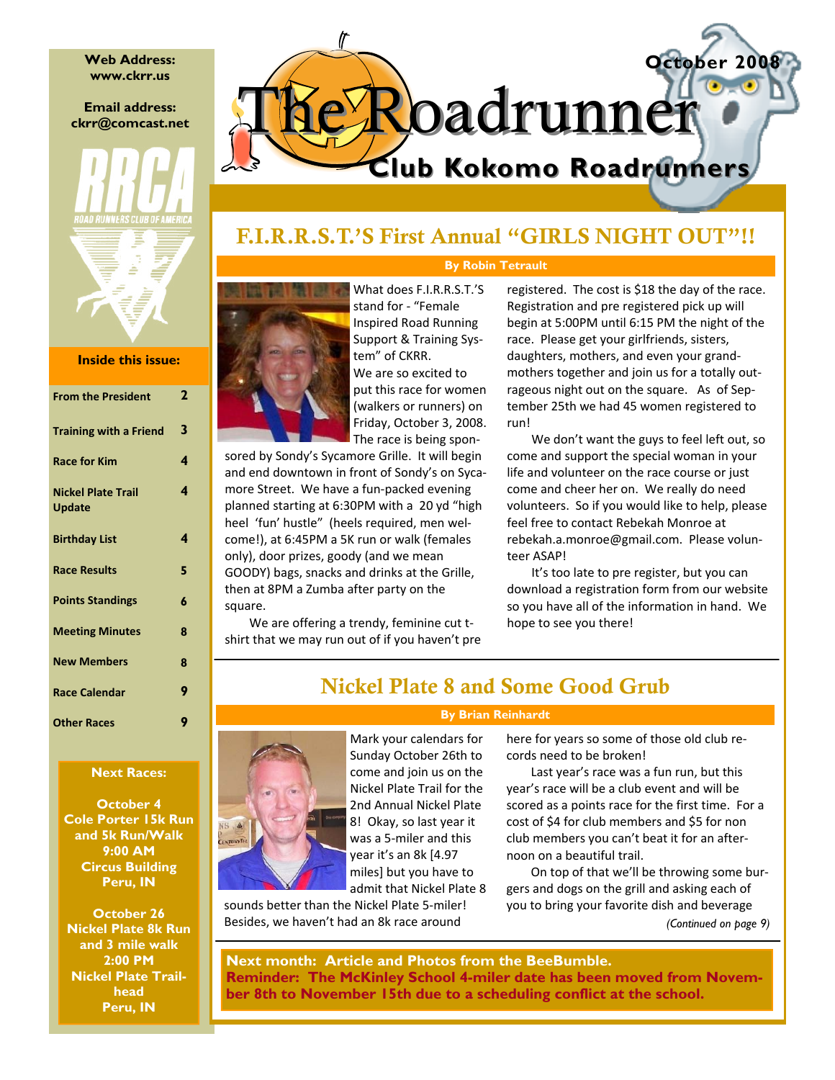**Web Address: www.ckrr.us** 

### **Email address: ckrr@comcast.net**



### **Inside this issue:**

| <b>From the President</b>                  | 2 |
|--------------------------------------------|---|
| <b>Training with a Friend</b>              | 3 |
| <b>Race for Kim</b>                        | 4 |
| <b>Nickel Plate Trail</b><br><b>Update</b> | 4 |
| <b>Birthday List</b>                       | 4 |
| <b>Race Results</b>                        | 5 |
| <b>Points Standings</b>                    | 6 |
| <b>Meeting Minutes</b>                     | ន |
| <b>New Members</b>                         | 8 |
| <b>Race Calendar</b>                       | 9 |
| <b>Other Races</b>                         | g |

### **Next Races:**

**October 4 Cole Porter 15k Run and 5k Run/Walk 9:00 AM Circus Building Peru, IN** 

**October 26 Nickel Plate 8k Run and 3 mile walk 2:00 PM Nickel Plate Trailhead Peru, IN** 

# **October 2008 Club Kokomo Roadrunners Club Kokomo Roadrunners Roadrunner**

# F.I.R.R.S.T.'S First Annual "GIRLS NIGHT OUT"!!

### **By Robin Tetrault**



What does F.I.R.R.S.T.'S stand for ‐ "Female Inspired Road Running Support & Training Sys‐ tem" of CKRR. We are so excited to put this race for women (walkers or runners) on Friday, October 3, 2008. The race is being spon‐

sored by Sondy's Sycamore Grille. It will begin and end downtown in front of Sondy's on Sycamore Street. We have a fun‐packed evening planned starting at 6:30PM with a 20 yd "high heel 'fun' hustle" (heels required, men wel‐ come!), at 6:45PM a 5K run or walk (females only), door prizes, goody (and we mean GOODY) bags, snacks and drinks at the Grille, then at 8PM a Zumba after party on the square.

We are offering a trendy, feminine cut t‐ shirt that we may run out of if you haven't pre registered. The cost is \$18 the day of the race. Registration and pre registered pick up will begin at 5:00PM until 6:15 PM the night of the race. Please get your girlfriends, sisters, daughters, mothers, and even your grand‐ mothers together and join us for a totally out‐ rageous night out on the square. As of September 25th we had 45 women registered to run!

We don't want the guys to feel left out, so come and support the special woman in your life and volunteer on the race course or just come and cheer her on. We really do need volunteers. So if you would like to help, please feel free to contact Rebekah Monroe at rebekah.a.monroe@gmail.com. Please volun‐ teer ASAP!

It's too late to pre register, but you can download a registration form from our website so you have all of the information in hand. We hope to see you there!

# Nickel Plate 8 and Some Good Grub

#### **By Brian Reinhardt**



Mark your calendars for Sunday October 26th to come and join us on the Nickel Plate Trail for the 2nd Annual Nickel Plate 8! Okay, so last year it was a 5‐miler and this year it's an 8k [4.97 miles] but you have to admit that Nickel Plate 8

sounds better than the Nickel Plate 5‐miler! Besides, we haven't had an 8k race around

here for years so some of those old club re‐ cords need to be broken!

Last year's race was a fun run, but this year's race will be a club event and will be scored as a points race for the first time. For a cost of \$4 for club members and \$5 for non club members you can't beat it for an after‐ noon on a beautiful trail.

On top of that we'll be throwing some bur‐ gers and dogs on the grill and asking each of you to bring your favorite dish and beverage

*(Continued on page 9)* 

**Next month: Article and Photos from the BeeBumble. Reminder: The McKinley School 4-miler date has been moved from November 8th to November 15th due to a scheduling conflict at the school.**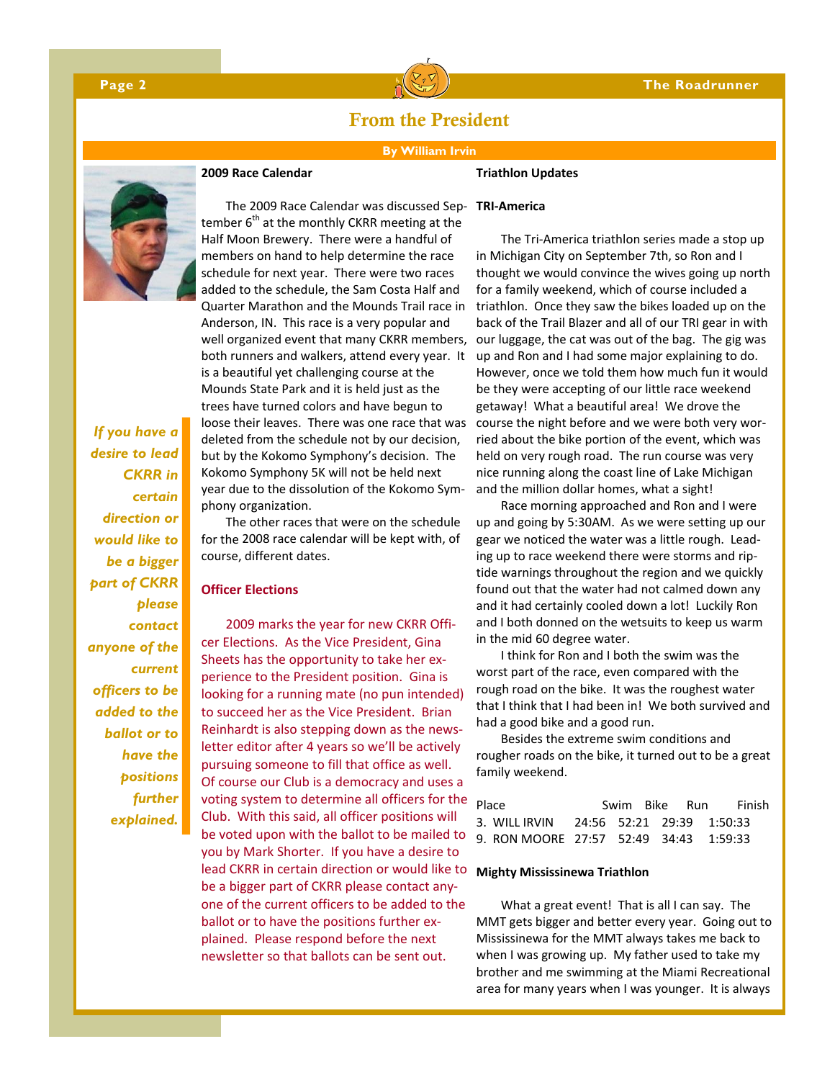

# From the President

#### **By William Irvin**

#### **Triathlon Updates**



#### **2009 Race Calendar**

*If you have a desire to lead CKRR in certain direction or would like to be a bigger part of CKRR please contact anyone of the current officers to be added to the ballot or to have the positions further explained.* 

The 2009 Race Calendar was discussed Sep‐ **TRI‐America**  tember  $6<sup>th</sup>$  at the monthly CKRR meeting at the Half Moon Brewery. There were a handful of members on hand to help determine the race schedule for next year. There were two races added to the schedule, the Sam Costa Half and Quarter Marathon and the Mounds Trail race in Anderson, IN. This race is a very popular and well organized event that many CKRR members, both runners and walkers, attend every year. It is a beautiful yet challenging course at the Mounds State Park and it is held just as the trees have turned colors and have begun to loose their leaves. There was one race that was deleted from the schedule not by our decision, but by the Kokomo Symphony's decision. The Kokomo Symphony 5K will not be held next year due to the dissolution of the Kokomo Sym‐ phony organization.

The other races that were on the schedule for the 2008 race calendar will be kept with, of course, different dates.

#### **Officer Elections**

2009 marks the year for new CKRR Offi‐ cer Elections. As the Vice President, Gina Sheets has the opportunity to take her ex‐ perience to the President position. Gina is looking for a running mate (no pun intended) to succeed her as the Vice President. Brian Reinhardt is also stepping down as the news‐ letter editor after 4 years so we'll be actively pursuing someone to fill that office as well. Of course our Club is a democracy and uses a voting system to determine all officers for the Club. With this said, all officer positions will be voted upon with the ballot to be mailed to you by Mark Shorter. If you have a desire to lead CKRR in certain direction or would like to be a bigger part of CKRR please contact any‐ one of the current officers to be added to the ballot or to have the positions further ex‐ plained. Please respond before the next newsletter so that ballots can be sent out.

The Tri‐America triathlon series made a stop up in Michigan City on September 7th, so Ron and I thought we would convince the wives going up north for a family weekend, which of course included a triathlon. Once they saw the bikes loaded up on the back of the Trail Blazer and all of our TRI gear in with our luggage, the cat was out of the bag. The gig was up and Ron and I had some major explaining to do. However, once we told them how much fun it would be they were accepting of our little race weekend getaway! What a beautiful area! We drove the course the night before and we were both very wor‐ ried about the bike portion of the event, which was held on very rough road. The run course was very nice running along the coast line of Lake Michigan and the million dollar homes, what a sight!

Race morning approached and Ron and I were up and going by 5:30AM. As we were setting up our gear we noticed the water was a little rough. Lead‐ ing up to race weekend there were storms and rip‐ tide warnings throughout the region and we quickly found out that the water had not calmed down any and it had certainly cooled down a lot! Luckily Ron and I both donned on the wetsuits to keep us warm in the mid 60 degree water.

I think for Ron and I both the swim was the worst part of the race, even compared with the rough road on the bike. It was the roughest water that I think that I had been in! We both survived and had a good bike and a good run.

Besides the extreme swim conditions and rougher roads on the bike, it turned out to be a great family weekend.

| Place                                   | Swim Bike Run |  | <b>Finish</b> |  |
|-----------------------------------------|---------------|--|---------------|--|
| 3. WILL IRVIN 24:56 52:21 29:39 1:50:33 |               |  |               |  |
| 9. RON MOORE 27:57 52:49 34:43 1:59:33  |               |  |               |  |

#### **Mighty Mississinewa Triathlon**

What a great event! That is all I can say. The MMT gets bigger and better every year. Going out to Mississinewa for the MMT always takes me back to when I was growing up. My father used to take my brother and me swimming at the Miami Recreational area for many years when I was younger. It is always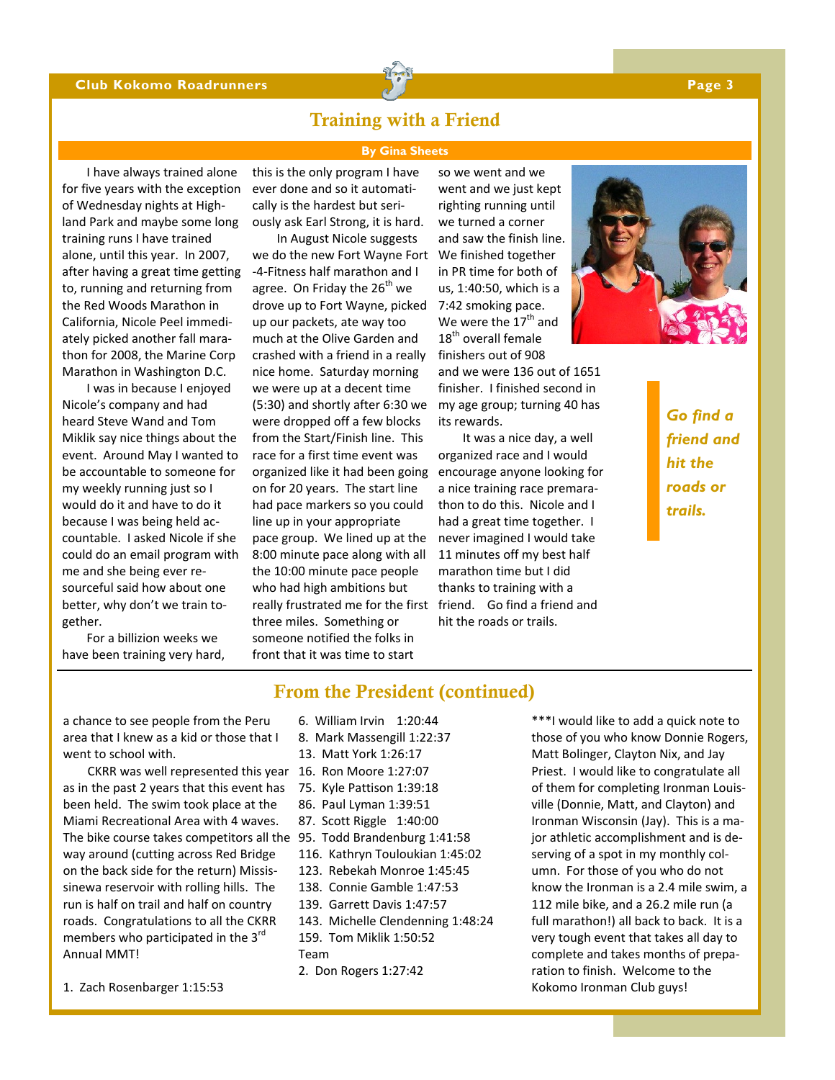#### **Club Kokomo Roadrunners Page 3 Page 3 Page 3 Page 3**



# Training with a Friend

#### **By Gina Sheets**

I have always trained alone for five years with the exception of Wednesday nights at High‐ land Park and maybe some long training runs I have trained alone, until this year. In 2007, after having a great time getting to, running and returning from the Red Woods Marathon in California, Nicole Peel immedi‐ ately picked another fall mara‐ thon for 2008, the Marine Corp Marathon in Washington D.C.

I was in because I enjoyed Nicole's company and had heard Steve Wand and Tom Miklik say nice things about the event. Around May I wanted to be accountable to someone for my weekly running just so I would do it and have to do it because I was being held ac‐ countable. I asked Nicole if she could do an email program with me and she being ever re‐ sourceful said how about one better, why don't we train to‐ gether.

For a billizion weeks we have been training very hard,

this is the only program I have ever done and so it automati‐ cally is the hardest but seri‐ ously ask Earl Strong, it is hard.

In August Nicole suggests we do the new Fort Wayne Fort We finished together ‐4‐Fitness half marathon and I agree. On Friday the  $26<sup>th</sup>$  we drove up to Fort Wayne, picked up our packets, ate way too much at the Olive Garden and crashed with a friend in a really nice home. Saturday morning we were up at a decent time (5:30) and shortly after 6:30 we were dropped off a few blocks from the Start/Finish line. This race for a first time event was organized like it had been going on for 20 years. The start line had pace markers so you could line up in your appropriate pace group. We lined up at the 8:00 minute pace along with all the 10:00 minute pace people who had high ambitions but really frustrated me for the first three miles. Something or someone notified the folks in front that it was time to start

so we went and we went and we just kept righting running until we turned a corner and saw the finish line. in PR time for both of us, 1:40:50, which is a 7:42 smoking pace. We were the  $17<sup>th</sup>$  and 18<sup>th</sup> overall female finishers out of 908

and we were 136 out of 1651 finisher. I finished second in my age group; turning 40 has its rewards.

It was a nice day, a well organized race and I would encourage anyone looking for a nice training race premara‐ thon to do this. Nicole and I had a great time together. I never imagined I would take 11 minutes off my best half marathon time but I did thanks to training with a friend. Go find a friend and hit the roads or trails.

*Go find a friend and hit the roads or trails.* 

From the President (continued)

a chance to see people from the Peru area that I knew as a kid or those that I went to school with.

CKRR was well represented this year 16. Ron Moore 1:27:07 as in the past 2 years that this event has been held. The swim took place at the Miami Recreational Area with 4 waves. The bike course takes competitors all the 95. Todd Brandenburg 1:41:58 way around (cutting across Red Bridge on the back side for the return) Missis‐ sinewa reservoir with rolling hills. The run is half on trail and half on country roads. Congratulations to all the CKRR members who participated in the 3<sup>rd</sup> Annual MMT!

1. Zach Rosenbarger 1:15:53

- 6. William Irvin 1:20:44
- 8. Mark Massengill 1:22:37
- 13. Matt York 1:26:17
- 
- 75. Kyle Pattison 1:39:18
- 86. Paul Lyman 1:39:51
- 87. Scott Riggle 1:40:00
- 
- 116. Kathryn Touloukian 1:45:02
- 123. Rebekah Monroe 1:45:45
- 138. Connie Gamble 1:47:53
- 139. Garrett Davis 1:47:57
- 143. Michelle Clendenning 1:48:24 159. Tom Miklik 1:50:52
- Team
- 2. Don Rogers 1:27:42

\*\*\*I would like to add a quick note to those of you who know Donnie Rogers, Matt Bolinger, Clayton Nix, and Jay Priest. I would like to congratulate all of them for completing Ironman Louis‐ ville (Donnie, Matt, and Clayton) and Ironman Wisconsin (Jay). This is a ma‐ jor athletic accomplishment and is de‐ serving of a spot in my monthly col‐ umn. For those of you who do not know the Ironman is a 2.4 mile swim, a 112 mile bike, and a 26.2 mile run (a full marathon!) all back to back. It is a very tough event that takes all day to complete and takes months of prepa‐ ration to finish. Welcome to the Kokomo Ironman Club guys!

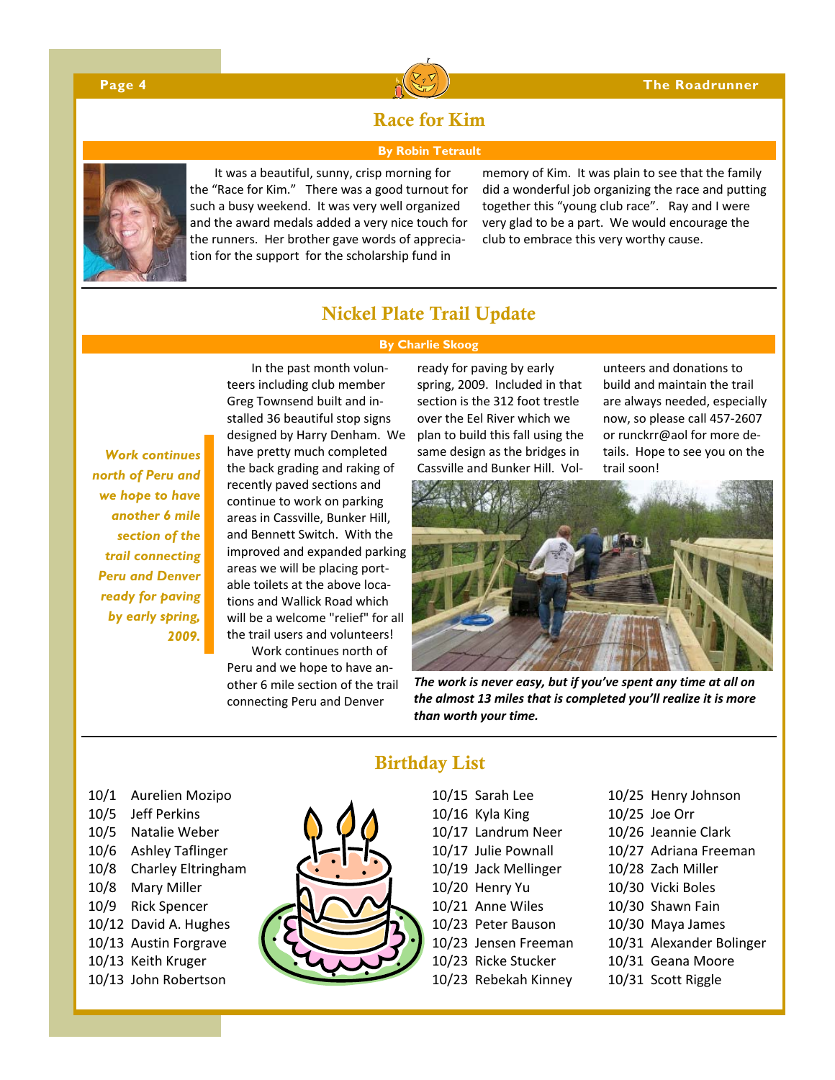

# Race for Kim

#### **By Robin Tetrault**



It was a beautiful, sunny, crisp morning for the "Race for Kim." There was a good turnout for such a busy weekend. It was very well organized and the award medals added a very nice touch for the runners. Her brother gave words of apprecia‐ tion for the support for the scholarship fund in

memory of Kim. It was plain to see that the family did a wonderful job organizing the race and putting together this "young club race". Ray and I were very glad to be a part. We would encourage the club to embrace this very worthy cause.

# Nickel Plate Trail Update

#### **By Charlie Skoog**

*Work continues north of Peru and we hope to have another 6 mile section of the trail connecting Peru and Denver ready for paving by early spring, 2009.* 

In the past month volun‐ teers including club member Greg Townsend built and in‐ stalled 36 beautiful stop signs designed by Harry Denham. We have pretty much completed the back grading and raking of recently paved sections and continue to work on parking areas in Cassville, Bunker Hill, and Bennett Switch. With the improved and expanded parking areas we will be placing port‐ able toilets at the above loca‐ tions and Wallick Road which will be a welcome "relief" for all the trail users and volunteers!

Work continues north of Peru and we hope to have an‐ other 6 mile section of the trail connecting Peru and Denver

ready for paving by early spring, 2009. Included in that section is the 312 foot trestle over the Eel River which we plan to build this fall using the same design as the bridges in Cassville and Bunker Hill. Vol‐

unteers and donations to build and maintain the trail are always needed, especially now, so please call 457‐2607 or runckrr@aol for more de‐ tails. Hope to see you on the trail soon!



*The work is never easy, but if you've spent any time at all on the almost 13 miles that is completed you'll realize it is more than worth your time.*

- 10/1 Aurelien Mozipo
- 10/5 Jeff Perkins
- 10/5 Natalie Weber
- 10/6 Ashley Taflinger
- 10/8 Charley Eltringham
- 10/8 Mary Miller
- 10/9 Rick Spencer
- 10/12 David A. Hughes
- 10/13 Austin Forgrave
- 10/13 Keith Kruger
- 10/13 John Robertson



# Birthday List

- 10/15 Sarah Lee
- 10/16 Kyla King
- 10/17 Landrum Neer
- 10/17 Julie Pownall
- 10/19 Jack Mellinger
- 10/20 Henry Yu
- 10/21 Anne Wiles
- 10/23 Peter Bauson
- 10/23 Jensen Freeman
- 10/23 Ricke Stucker
- 10/23 Rebekah Kinney
- 10/25 Henry Johnson
- 10/25 Joe Orr
- 10/26 Jeannie Clark
- 10/27 Adriana Freeman
- 10/28 Zach Miller
- 10/30 Vicki Boles
- 10/30 Shawn Fain
- 10/30 Maya James
- 10/31 Alexander Bolinger
- 10/31 Geana Moore
- 10/31 Scott Riggle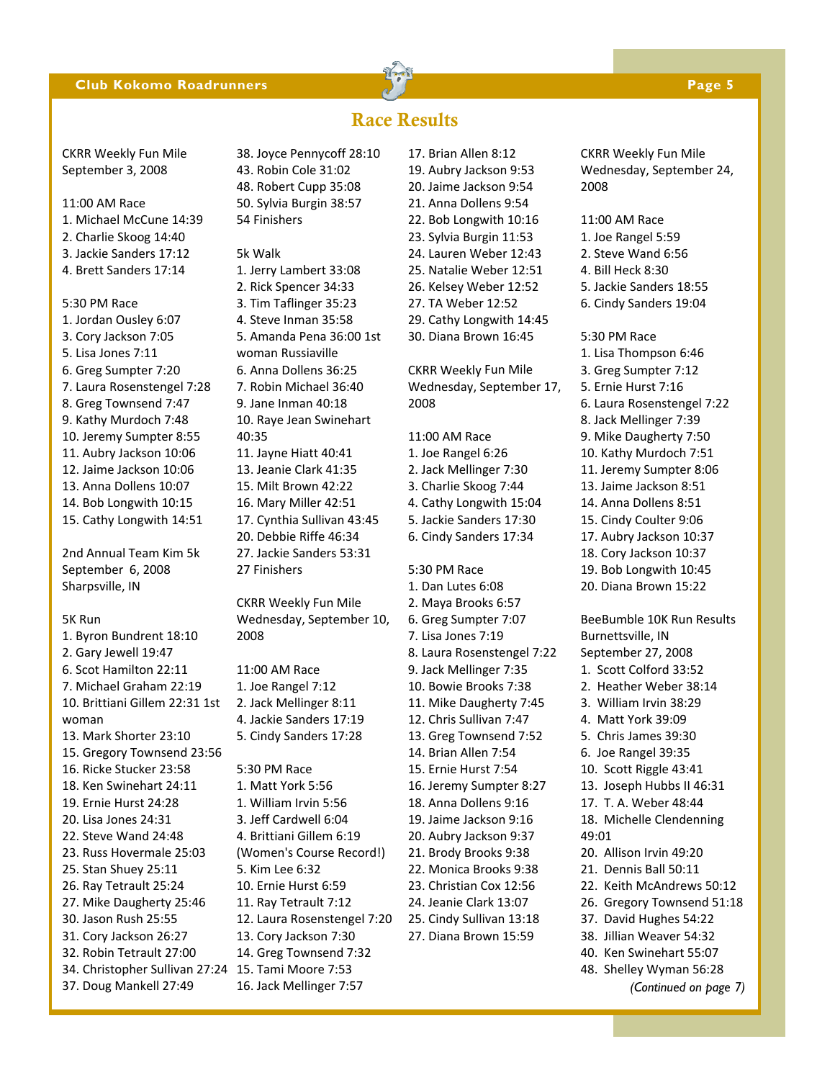#### **Club Kokomo Roadrunners Page 5 Page 5 Page 5**

Race Results

#### CKRR Weekly Fun Mile September 3, 2008

11:00 AM Race 1. Michael McCune 14:39 2. Charlie Skoog 14:40 3. Jackie Sanders 17:12

4. Brett Sanders 17:14

5:30 PM Race 1. Jordan Ousley 6:07 3. Cory Jackson 7:05 5. Lisa Jones 7:11 6. Greg Sumpter 7:20 7. Laura Rosenstengel 7:28 8. Greg Townsend 7:47 9. Kathy Murdoch 7:48 10. Jeremy Sumpter 8:55 11. Aubry Jackson 10:06 12. Jaime Jackson 10:06 13. Anna Dollens 10:07 14. Bob Longwith 10:15 15. Cathy Longwith 14:51

2nd Annual Team Kim 5k September 6, 2008 Sharpsville, IN

#### 5K Run

1. Byron Bundrent 18:10 2. Gary Jewell 19:47 6. Scot Hamilton 22:11 7. Michael Graham 22:19 10. Brittiani Gillem 22:31 1st woman 13. Mark Shorter 23:10 15. Gregory Townsend 23:56 16. Ricke Stucker 23:58 18. Ken Swinehart 24:11 19. Ernie Hurst 24:28 20. Lisa Jones 24:31 22. Steve Wand 24:48 23. Russ Hovermale 25:03 25. Stan Shuey 25:11 26. Ray Tetrault 25:24 27. Mike Daugherty 25:46 30. Jason Rush 25:55 31. Cory Jackson 26:27 32. Robin Tetrault 27:00 34. Christopher Sullivan 27:24 15. Tami Moore 7:53 37. Doug Mankell 27:49

38. Joyce Pennycoff 28:10 43. Robin Cole 31:02 48. Robert Cupp 35:08 50. Sylvia Burgin 38:57 54 Finishers

5k Walk 1. Jerry Lambert 33:08 2. Rick Spencer 34:33 3. Tim Taflinger 35:23 4. Steve Inman 35:58 5. Amanda Pena 36:00 1st woman Russiaville 6. Anna Dollens 36:25 7. Robin Michael 36:40 9. Jane Inman 40:18 10. Raye Jean Swinehart 40:35 11. Jayne Hiatt 40:41 13. Jeanie Clark 41:35 15. Milt Brown 42:22 16. Mary Miller 42:51 17. Cynthia Sullivan 43:45 20. Debbie Riffe 46:34 27. Jackie Sanders 53:31 27 Finishers

CKRR Weekly Fun Mile Wednesday, September 10, 2008

11:00 AM Race 1. Joe Rangel 7:12 2. Jack Mellinger 8:11 4. Jackie Sanders 17:19 5. Cindy Sanders 17:28

5:30 PM Race 1. Matt York 5:56 1. William Irvin 5:56 3. Jeff Cardwell 6:04 4. Brittiani Gillem 6:19 (Women's Course Record!) 5. Kim Lee 6:32 10. Ernie Hurst 6:59 11. Ray Tetrault 7:12 12. Laura Rosenstengel 7:20 13. Cory Jackson 7:30 14. Greg Townsend 7:32 16. Jack Mellinger 7:57

17. Brian Allen 8:12 19. Aubry Jackson 9:53 20. Jaime Jackson 9:54 21. Anna Dollens 9:54 22. Bob Longwith 10:16 23. Sylvia Burgin 11:53 24. Lauren Weber 12:43 25. Natalie Weber 12:51 26. Kelsey Weber 12:52 27. TA Weber 12:52 29. Cathy Longwith 14:45

30. Diana Brown 16:45

CKRR Weekly Fun Mile Wednesday, September 17, 2008

11:00 AM Race 1. Joe Rangel 6:26 2. Jack Mellinger 7:30 3. Charlie Skoog 7:44 4. Cathy Longwith 15:04 5. Jackie Sanders 17:30 6. Cindy Sanders 17:34

#### 5:30 PM Race

1. Dan Lutes 6:08 2. Maya Brooks 6:57 6. Greg Sumpter 7:07 7. Lisa Jones 7:19 8. Laura Rosenstengel 7:22 9. Jack Mellinger 7:35 10. Bowie Brooks 7:38 11. Mike Daugherty 7:45 12. Chris Sullivan 7:47 13. Greg Townsend 7:52 14. Brian Allen 7:54 15. Ernie Hurst 7:54 16. Jeremy Sumpter 8:27 18. Anna Dollens 9:16 19. Jaime Jackson 9:16 20. Aubry Jackson 9:37 21. Brody Brooks 9:38 22. Monica Brooks 9:38 23. Christian Cox 12:56 24. Jeanie Clark 13:07 25. Cindy Sullivan 13:18 27. Diana Brown 15:59

CKRR Weekly Fun Mile Wednesday, September 24, 2008

#### 11:00 AM Race

- 1. Joe Rangel 5:59
- 2. Steve Wand 6:56
- 4. Bill Heck 8:30
- 5. Jackie Sanders 18:55
- 6. Cindy Sanders 19:04

#### 5:30 PM Race 1. Lisa Thompson 6:46 3. Greg Sumpter 7:12

5. Ernie Hurst 7:16 6. Laura Rosenstengel 7:22 8. Jack Mellinger 7:39 9. Mike Daugherty 7:50 10. Kathy Murdoch 7:51 11. Jeremy Sumpter 8:06 13. Jaime Jackson 8:51 14. Anna Dollens 8:51 15. Cindy Coulter 9:06 17. Aubry Jackson 10:37 18. Cory Jackson 10:37 19. Bob Longwith 10:45 20. Diana Brown 15:22 BeeBumble 10K Run Results Burnettsville, IN September 27, 2008 1. Scott Colford 33:52 2. Heather Weber 38:14 3. William Irvin 38:29 4. Matt York 39:09 5. Chris James 39:30 6. Joe Rangel 39:35 10. Scott Riggle 43:41 13. Joseph Hubbs II 46:31 17. T. A. Weber 48:44 18. Michelle Clendenning 49:01 20. Allison Irvin 49:20 21. Dennis Ball 50:11 22. Keith McAndrews 50:12 26. Gregory Townsend 51:18 37. David Hughes 54:22 38. Jillian Weaver 54:32 40. Ken Swinehart 55:07 48. Shelley Wyman 56:28 *(Continued on page 7)*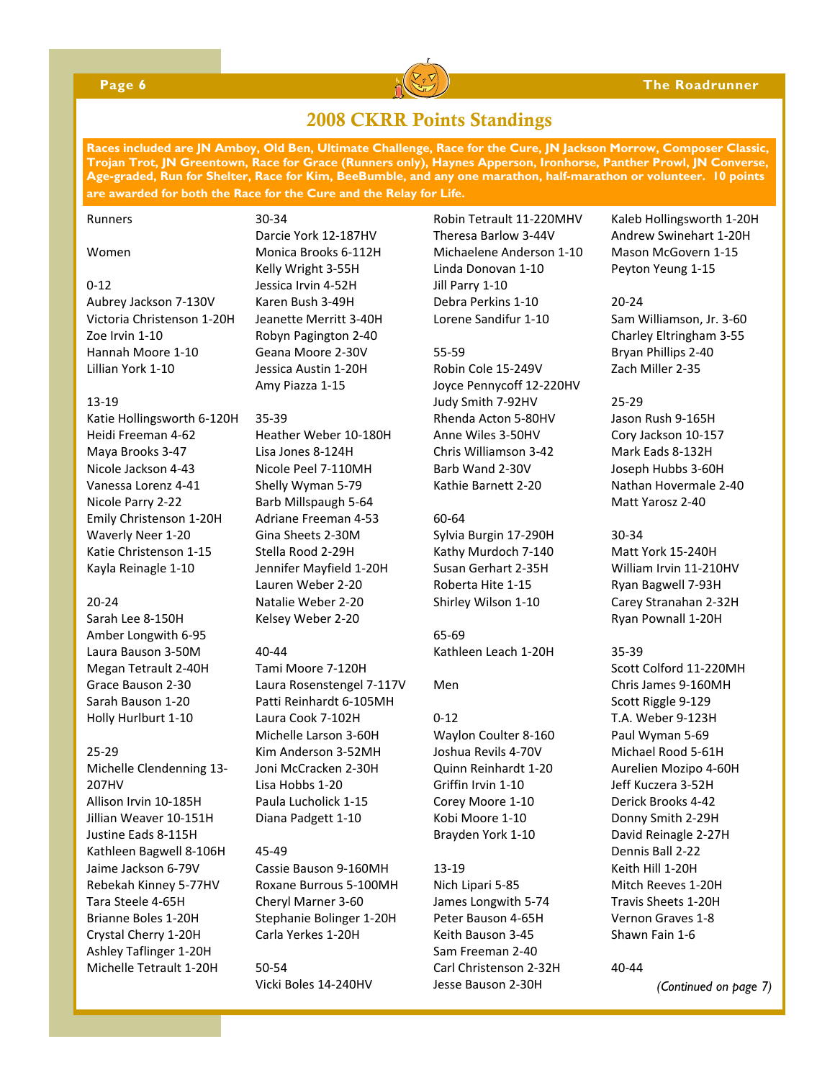

#### **Page 6 The Roadrunner**

# 2008 CKRR Points Standings

**Races included are JN Amboy, Old Ben, Ultimate Challenge, Race for the Cure, JN Jackson Morrow, Composer Classic, Trojan Trot, JN Greentown, Race for Grace (Runners only), Haynes Apperson, Ironhorse, Panther Prowl, JN Converse, Age-graded, Run for Shelter, Race for Kim, BeeBumble, and any one marathon, half-marathon or volunteer. 10 points are awarded for both the Race for the Cure and the Relay for Life.** 

#### Runners

Women

#### $0 - 12$

Aubrey Jackson 7‐130V Victoria Christenson 1‐20H Zoe Irvin 1‐10 Hannah Moore 1‐10 Lillian York 1‐10

#### 13‐19

Katie Hollingsworth 6‐120H Heidi Freeman 4‐62 Maya Brooks 3‐47 Nicole Jackson 4‐43 Vanessa Lorenz 4‐41 Nicole Parry 2‐22 Emily Christenson 1‐20H Waverly Neer 1‐20 Katie Christenson 1‐15 Kayla Reinagle 1‐10

#### $20 - 24$

Sarah Lee 8‐150H Amber Longwith 6‐95 Laura Bauson 3‐50M Megan Tetrault 2‐40H Grace Bauson 2‐30 Sarah Bauson 1‐20 Holly Hurlburt 1‐10

#### 25‐29

Michelle Clendenning 13‐ 207HV Allison Irvin 10‐185H Jillian Weaver 10‐151H Justine Eads 8‐115H Kathleen Bagwell 8‐106H Jaime Jackson 6‐79V Rebekah Kinney 5‐77HV Tara Steele 4‐65H Brianne Boles 1‐20H Crystal Cherry 1‐20H Ashley Taflinger 1‐20H Michelle Tetrault 1‐20H

Darcie York 12‐187HV Monica Brooks 6‐112H Kelly Wright 3‐55H Jessica Irvin 4‐52H Karen Bush 3‐49H Jeanette Merritt 3‐40H Robyn Pagington 2‐40 Geana Moore 2‐30V Jessica Austin 1‐20H Amy Piazza 1‐15

#### 35‐39

30‐34

Heather Weber 10‐180H Lisa Jones 8‐124H Nicole Peel 7‐110MH Shelly Wyman 5‐79 Barb Millspaugh 5‐64 Adriane Freeman 4‐53 Gina Sheets 2‐30M Stella Rood 2‐29H Jennifer Mayfield 1‐20H Lauren Weber 2‐20 Natalie Weber 2‐20 Kelsey Weber 2‐20

#### 40‐44

Tami Moore 7‐120H Laura Rosenstengel 7‐117V Patti Reinhardt 6‐105MH Laura Cook 7‐102H Michelle Larson 3‐60H Kim Anderson 3‐52MH Joni McCracken 2‐30H Lisa Hobbs 1‐20 Paula Lucholick 1‐15 Diana Padgett 1‐10

#### 45‐49

Cassie Bauson 9‐160MH Roxane Burrous 5‐100MH Cheryl Marner 3‐60 Stephanie Bolinger 1‐20H Carla Yerkes 1‐20H

50‐54 Vicki Boles 14‐240HV

Robin Tetrault 11‐220MHV Theresa Barlow 3‐44V Michaelene Anderson 1‐10 Linda Donovan 1‐10 Jill Parry 1‐10 Debra Perkins 1‐10 Lorene Sandifur 1‐10

#### 55‐59

Robin Cole 15‐249V Joyce Pennycoff 12‐220HV Judy Smith 7‐92HV Rhenda Acton 5‐80HV Anne Wiles 3‐50HV Chris Williamson 3‐42 Barb Wand 2‐30V Kathie Barnett 2‐20

#### 60‐64

Sylvia Burgin 17‐290H Kathy Murdoch 7‐140 Susan Gerhart 2‐35H Roberta Hite 1‐15 Shirley Wilson 1‐10

65‐69 Kathleen Leach 1‐20H

#### Men

 $0 - 12$ Waylon Coulter 8‐160 Joshua Revils 4‐70V Quinn Reinhardt 1‐20 Griffin Irvin 1‐10 Corey Moore 1‐10 Kobi Moore 1‐10 Brayden York 1‐10

#### 13‐19

Nich Lipari 5‐85 James Longwith 5‐74 Peter Bauson 4‐65H Keith Bauson 3‐45 Sam Freeman 2‐40 Carl Christenson 2‐32H Jesse Bauson 2‐30H

Kaleb Hollingsworth 1‐20H Andrew Swinehart 1‐20H Mason McGovern 1‐15 Peyton Yeung 1‐15

#### 20‐24

Sam Williamson, Jr. 3‐60 Charley Eltringham 3‐55 Bryan Phillips 2‐40 Zach Miller 2‐35

#### 25‐29

Jason Rush 9‐165H Cory Jackson 10‐157 Mark Eads 8‐132H Joseph Hubbs 3‐60H Nathan Hovermale 2‐40 Matt Yarosz 2‐40

#### 30‐34

Matt York 15‐240H William Irvin 11‐210HV Ryan Bagwell 7‐93H Carey Stranahan 2‐32H Ryan Pownall 1‐20H

#### 35‐39

Scott Colford 11‐220MH Chris James 9‐160MH Scott Riggle 9‐129 T.A. Weber 9‐123H Paul Wyman 5‐69 Michael Rood 5‐61H Aurelien Mozipo 4‐60H Jeff Kuczera 3‐52H Derick Brooks 4‐42 Donny Smith 2‐29H David Reinagle 2‐27H Dennis Ball 2‐22 Keith Hill 1‐20H Mitch Reeves 1‐20H Travis Sheets 1‐20H Vernon Graves 1‐8 Shawn Fain 1‐6

#### 40‐44

*(Continued on page 7)*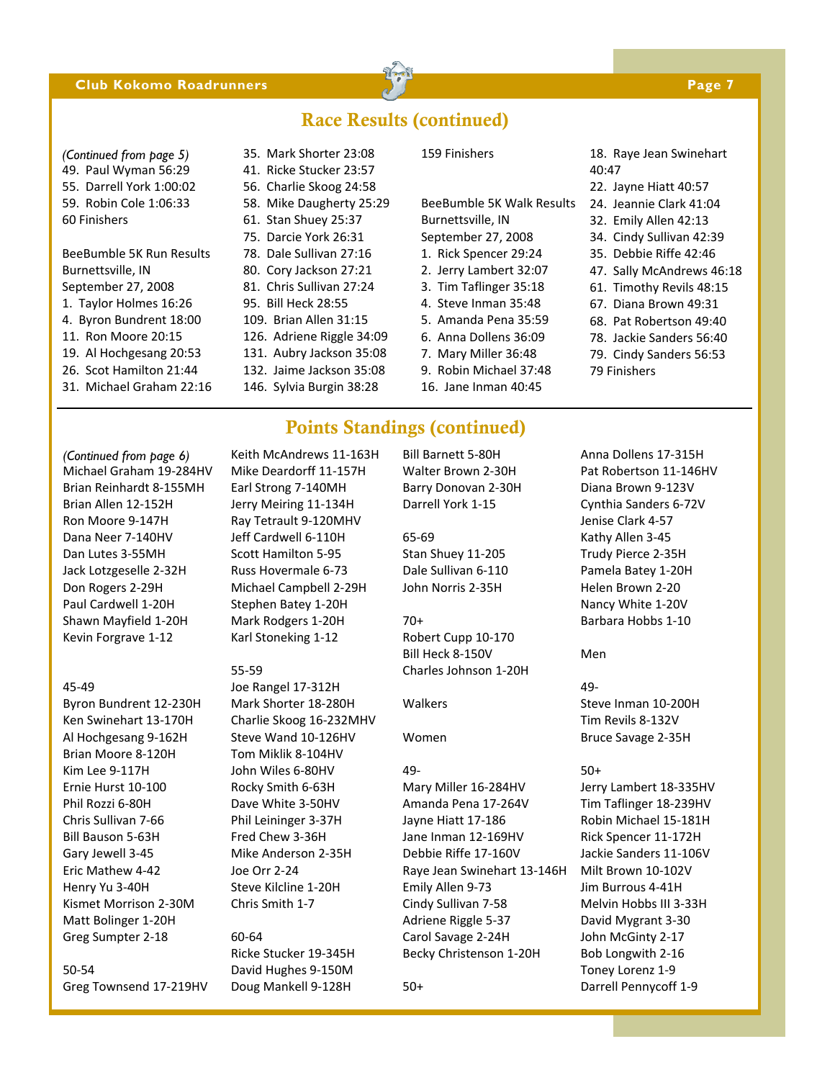#### **Club Kokomo Roadrunners Page 7 and Page 7 and Page 7 and Page 7 and Page 7 and Page 7 and Page 7 and Page 7 and Page 7 and Page 7 and Page 7 and Page 7 and Page 7 and Page 7 and Page 7 and Page 7 and Page 7 and Page 7 and**



# Race Results (continued)

49. Paul Wyman 56:29 55. Darrell York 1:00:02 59. Robin Cole 1:06:33 60 Finishers *(Continued from page 5)* 35. Mark Shorter 23:08

BeeBumble 5K Run Results Burnettsville, IN September 27, 2008 1. Taylor Holmes 16:26 4. Byron Bundrent 18:00 11. Ron Moore 20:15

- 
- 
- 19. Al Hochgesang 20:53
- 26. Scot Hamilton 21:44
- 31. Michael Graham 22:16

# 41. Ricke Stucker 23:57

- 56. Charlie Skoog 24:58
- 58. Mike Daugherty 25:29
- 61. Stan Shuey 25:37
- 75. Darcie York 26:31
- 78. Dale Sullivan 27:16
- 80. Cory Jackson 27:21
- 81. Chris Sullivan 27:24
- 95. Bill Heck 28:55 109. Brian Allen 31:15
- 126. Adriene Riggle 34:09
- 131. Aubry Jackson 35:08
- 132. Jaime Jackson 35:08
- 146. Sylvia Burgin 38:28

#### 159 Finishers

BeeBumble 5K Walk Results Burnettsville, IN September 27, 2008 1. Rick Spencer 29:24

- 2. Jerry Lambert 32:07
- 3. Tim Taflinger 35:18
- 4. Steve Inman 35:48
- 5. Amanda Pena 35:59
- 6. Anna Dollens 36:09
- 7. Mary Miller 36:48
- 
- 9. Robin Michael 37:48 16. Jane Inman 40:45
- 18. Raye Jean Swinehart 40:47
- 22. Jayne Hiatt 40:57
- 24. Jeannie Clark 41:04
- 32. Emily Allen 42:13
- 34. Cindy Sullivan 42:39
- 35. Debbie Riffe 42:46
- 47. Sally McAndrews 46:18
- 61. Timothy Revils 48:15
- 67. Diana Brown 49:31
- 68. Pat Robertson 49:40
- 78. Jackie Sanders 56:40
- 79. Cindy Sanders 56:53
- 79 Finishers

Michael Graham 19‐284HV Brian Reinhardt 8‐155MH Brian Allen 12‐152H Ron Moore 9‐147H Dana Neer 7‐140HV Dan Lutes 3‐55MH Jack Lotzgeselle 2‐32H Don Rogers 2‐29H Paul Cardwell 1‐20H Shawn Mayfield 1‐20H Kevin Forgrave 1‐12 *(Continued from page 6)* Keith McAndrews 11‐163H

#### 45‐49

Byron Bundrent 12‐230H Ken Swinehart 13‐170H Al Hochgesang 9‐162H Brian Moore 8‐120H Kim Lee 9‐117H Ernie Hurst 10‐100 Phil Rozzi 6‐80H Chris Sullivan 7‐66 Bill Bauson 5‐63H Gary Jewell 3‐45 Eric Mathew 4‐42 Henry Yu 3‐40H Kismet Morrison 2‐30M Matt Bolinger 1‐20H Greg Sumpter 2‐18

50‐54 Greg Townsend 17‐219HV Mike Deardorff 11‐157H Earl Strong 7‐140MH Jerry Meiring 11‐134H Ray Tetrault 9‐120MHV Jeff Cardwell 6‐110H Scott Hamilton 5‐95 Russ Hovermale 6‐73 Michael Campbell 2‐29H Stephen Batey 1‐20H Mark Rodgers 1‐20H Karl Stoneking 1‐12

#### 55‐59

Joe Rangel 17‐312H Mark Shorter 18‐280H Charlie Skoog 16‐232MHV Steve Wand 10‐126HV Tom Miklik 8‐104HV John Wiles 6‐80HV Rocky Smith 6‐63H Dave White 3‐50HV Phil Leininger 3‐37H Fred Chew 3‐36H Mike Anderson 2‐35H Joe Orr 2‐24 Steve Kilcline 1‐20H Chris Smith 1‐7

### 60‐64

Ricke Stucker 19‐345H David Hughes 9‐150M Doug Mankell 9‐128H

Bill Barnett 5‐80H Walter Brown 2‐30H Barry Donovan 2‐30H Darrell York 1‐15

65‐69

Stan Shuey 11‐205 Dale Sullivan 6‐110 John Norris 2‐35H

### 70+

Points Standings (continued)

Robert Cupp 10‐170 Bill Heck 8‐150V Charles Johnson 1‐20H

Walkers

Women

#### 49‐

Mary Miller 16‐284HV Amanda Pena 17‐264V Jayne Hiatt 17‐186 Jane Inman 12‐169HV Debbie Riffe 17‐160V Raye Jean Swinehart 13‐146H Emily Allen 9‐73 Cindy Sullivan 7‐58 Adriene Riggle 5‐37 Carol Savage 2‐24H Becky Christenson 1‐20H

50+

Anna Dollens 17‐315H Pat Robertson 11‐146HV Diana Brown 9‐123V Cynthia Sanders 6‐72V Jenise Clark 4‐57 Kathy Allen 3‐45 Trudy Pierce 2‐35H Pamela Batey 1‐20H Helen Brown 2‐20 Nancy White 1‐20V Barbara Hobbs 1‐10

Men

49‐ Steve Inman 10‐200H Tim Revils 8‐132V Bruce Savage 2‐35H

#### 50+

Jerry Lambert 18‐335HV Tim Taflinger 18‐239HV Robin Michael 15‐181H Rick Spencer 11‐172H Jackie Sanders 11‐106V Milt Brown 10‐102V Jim Burrous 4‐41H Melvin Hobbs III 3‐33H David Mygrant 3‐30 John McGinty 2‐17 Bob Longwith 2‐16 Toney Lorenz 1‐9 Darrell Pennycoff 1‐9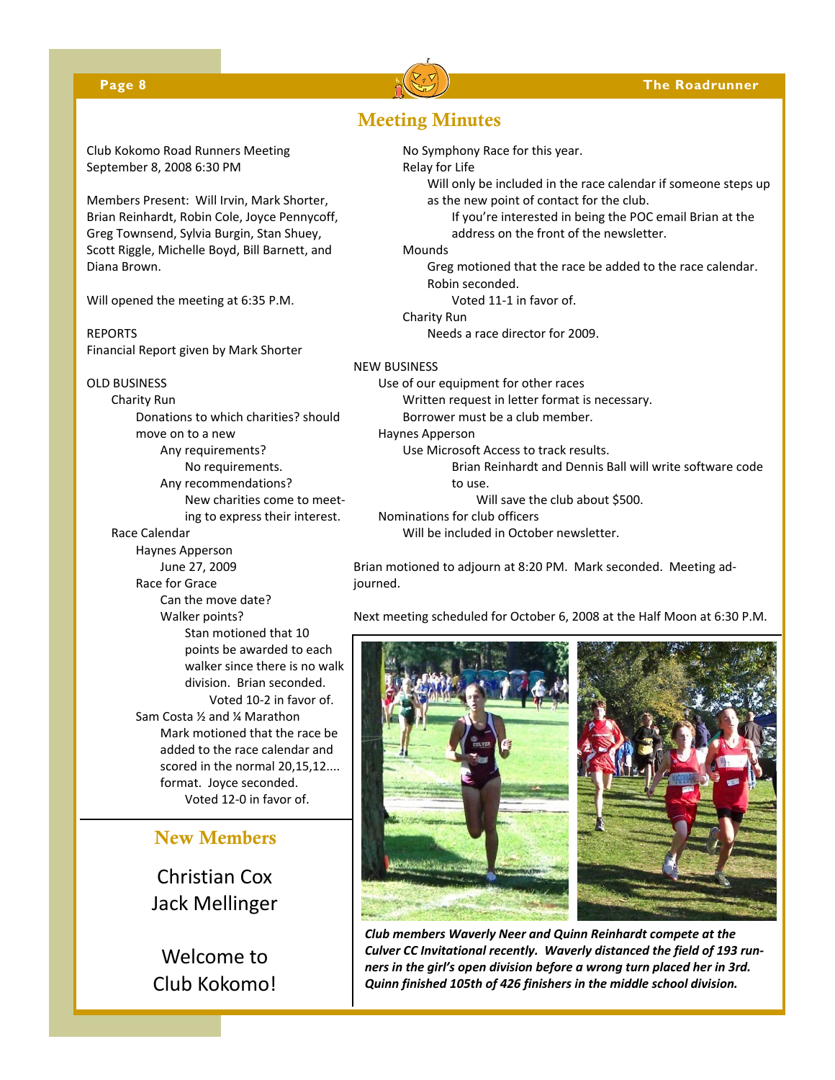#### **Page 8 The Roadrunner**



Club Kokomo Road Runners Meeting September 8, 2008 6:30 PM

Members Present: Will Irvin, Mark Shorter, Brian Reinhardt, Robin Cole, Joyce Pennycoff, Greg Townsend, Sylvia Burgin, Stan Shuey, Scott Riggle, Michelle Boyd, Bill Barnett, and Diana Brown.

Will opened the meeting at 6:35 P.M.

REPORTS Financial Report given by Mark Shorter

#### OLD BUSINESS

Charity Run Donations to which charities? should move on to a new Any requirements? No requirements. Any recommendations? New charities come to meet‐ ing to express their interest.

#### Race Calendar

Haynes Apperson June 27, 2009 Race for Grace Can the move date? Walker points? Stan motioned that 10 points be awarded to each walker since there is no walk division. Brian seconded. Voted 10‐2 in favor of. Sam Costa ½ and ¼ Marathon Mark motioned that the race be added to the race calendar and scored in the normal 20,15,12.... format. Joyce seconded. Voted 12‐0 in favor of.

# New Members

Christian Cox Jack Mellinger

Welcome to Club Kokomo!

# Meeting Minutes

No Symphony Race for this year.

#### Relay for Life

Will only be included in the race calendar if someone steps up as the new point of contact for the club.

If you're interested in being the POC email Brian at the address on the front of the newsletter.

Mounds

Greg motioned that the race be added to the race calendar. Robin seconded.

Voted 11‐1 in favor of.

Charity Run

Needs a race director for 2009.

#### NEW BUSINESS

Use of our equipment for other races

Written request in letter format is necessary.

Borrower must be a club member.

Haynes Apperson Use Microsoft Access to track results.

> Brian Reinhardt and Dennis Ball will write software code to use.

Will save the club about \$500.

Nominations for club officers Will be included in October newsletter.

Brian motioned to adjourn at 8:20 PM. Mark seconded. Meeting ad‐ journed.

Next meeting scheduled for October 6, 2008 at the Half Moon at 6:30 P.M.



*Club members Waverly Neer and Quinn Reinhardt compete at the Culver CC Invitational recently. Waverly distanced the field of 193 run‐ ners in the girl's open division before a wrong turn placed her in 3rd. Quinn finished 105th of 426 finishers in the middle school division.*